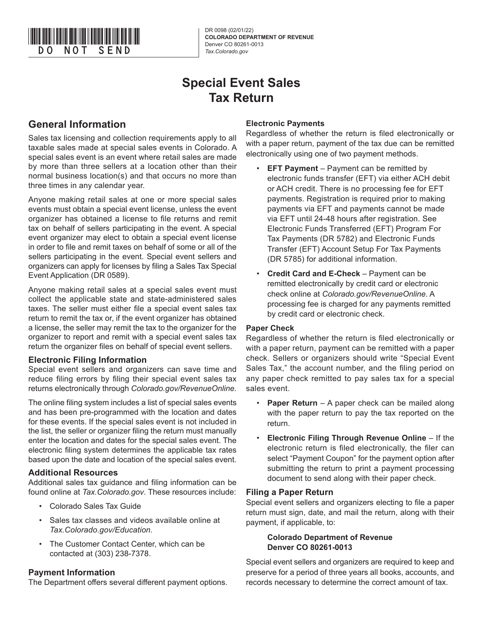

DR 0098 (02/01/22) **COLORADO DEPARTMENT OF REVENUE** Denver CO 80261-0013

# **Special Event Sales Tax Return**

## **General Information**

Sales tax licensing and collection requirements apply to all taxable sales made at special sales events in Colorado. A special sales event is an event where retail sales are made by more than three sellers at a location other than their normal business location(s) and that occurs no more than three times in any calendar year.

Anyone making retail sales at one or more special sales events must obtain a special event license, unless the event organizer has obtained a license to file returns and remit tax on behalf of sellers participating in the event. A special event organizer may elect to obtain a special event license in order to file and remit taxes on behalf of some or all of the sellers participating in the event. Special event sellers and organizers can apply for licenses by filing a Sales Tax Special Event Application (DR 0589).

Anyone making retail sales at a special sales event must collect the applicable state and state-administered sales taxes. The seller must either file a special event sales tax return to remit the tax or, if the event organizer has obtained a license, the seller may remit the tax to the organizer for the organizer to report and remit with a special event sales tax return the organizer files on behalf of special event sellers.

## **Electronic Filing Information**

Special event sellers and organizers can save time and reduce filing errors by filing their special event sales tax returns electronically through *Colorado.gov/RevenueOnline.*

The online filing system includes a list of special sales events and has been pre-programmed with the location and dates for these events. If the special sales event is not included in the list, the seller or organizer filing the return must manually enter the location and dates for the special sales event. The electronic filing system determines the applicable tax rates based upon the date and location of the special sales event.

## **Additional Resources**

Additional sales tax guidance and filing information can be found online at *Tax.Colorado.gov*. These resources include:

- Colorado Sales Tax Guide
- Sales tax classes and videos available online at *Tax.Colorado.gov/Education.*
- The Customer Contact Center, which can be contacted at (303) 238-7378.

## **Payment Information**

The Department offers several different payment options.

## **Electronic Payments**

Regardless of whether the return is filed electronically or with a paper return, payment of the tax due can be remitted electronically using one of two payment methods.

- **EFT Payment** Payment can be remitted by electronic funds transfer (EFT) via either ACH debit or ACH credit. There is no processing fee for EFT payments. Registration is required prior to making payments via EFT and payments cannot be made via EFT until 24-48 hours after registration. See Electronic Funds Transferred (EFT) Program For Tax Payments (DR 5782) and Electronic Funds Transfer (EFT) Account Setup For Tax Payments (DR 5785) for additional information.
- **Credit Card and E-Check**  Payment can be remitted electronically by credit card or electronic check online at *Colorado.gov/RevenueOnline*. A processing fee is charged for any payments remitted by credit card or electronic check.

## **Paper Check**

Regardless of whether the return is filed electronically or with a paper return, payment can be remitted with a paper check. Sellers or organizers should write "Special Event Sales Tax," the account number, and the filing period on any paper check remitted to pay sales tax for a special sales event.

- **Paper Return** A paper check can be mailed along with the paper return to pay the tax reported on the return.
- **Electronic Filing Through Revenue Online**  If the electronic return is filed electronically, the filer can select "Payment Coupon" for the payment option after submitting the return to print a payment processing document to send along with their paper check.

## **Filing a Paper Return**

Special event sellers and organizers electing to file a paper return must sign, date, and mail the return, along with their payment, if applicable, to:

## **Colorado Department of Revenue Denver CO 80261-0013**

Special event sellers and organizers are required to keep and preserve for a period of three years all books, accounts, and records necessary to determine the correct amount of tax.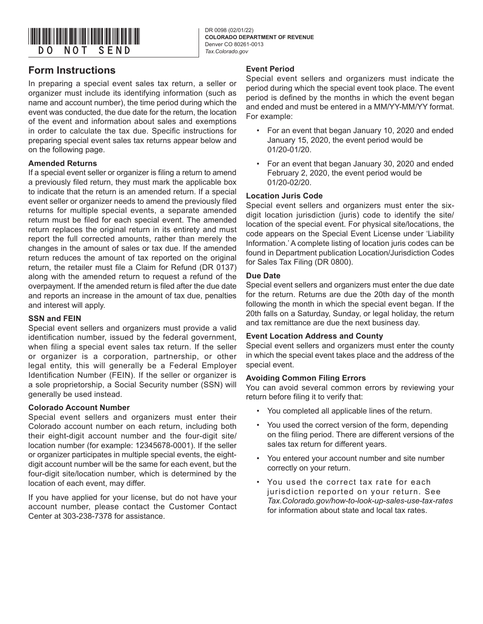

DR 0098 (02/01/22) **COLORADO DEPARTMENT OF REVENUE** Denver CO 80261-0013

## **Form Instructions**

In preparing a special event sales tax return, a seller or organizer must include its identifying information (such as name and account number), the time period during which the event was conducted, the due date for the return, the location of the event and information about sales and exemptions in order to calculate the tax due. Specific instructions for preparing special event sales tax returns appear below and on the following page.

## **Amended Returns**

If a special event seller or organizer is filing a return to amend a previously filed return, they must mark the applicable box to indicate that the return is an amended return. If a special event seller or organizer needs to amend the previously filed returns for multiple special events, a separate amended return must be filed for each special event. The amended return replaces the original return in its entirety and must report the full corrected amounts, rather than merely the changes in the amount of sales or tax due. If the amended return reduces the amount of tax reported on the original return, the retailer must file a Claim for Refund (DR 0137) along with the amended return to request a refund of the overpayment. If the amended return is filed after the due date and reports an increase in the amount of tax due, penalties and interest will apply.

## **SSN and FEIN**

Special event sellers and organizers must provide a valid identification number, issued by the federal government, when filing a special event sales tax return. If the seller or organizer is a corporation, partnership, or other legal entity, this will generally be a Federal Employer Identification Number (FEIN). If the seller or organizer is a sole proprietorship, a Social Security number (SSN) will generally be used instead.

## **Colorado Account Number**

Special event sellers and organizers must enter their Colorado account number on each return, including both their eight-digit account number and the four-digit site/ location number (for example: 12345678-0001). If the seller or organizer participates in multiple special events, the eightdigit account number will be the same for each event, but the four-digit site/location number, which is determined by the location of each event, may differ.

If you have applied for your license, but do not have your account number, please contact the Customer Contact Center at 303-238-7378 for assistance.

## **Event Period**

Special event sellers and organizers must indicate the period during which the special event took place. The event period is defined by the months in which the event began and ended and must be entered in a MM/YY-MM/YY format. For example:

- For an event that began January 10, 2020 and ended January 15, 2020, the event period would be 01/20-01/20.
- For an event that began January 30, 2020 and ended February 2, 2020, the event period would be 01/20-02/20.

## **Location Juris Code**

Special event sellers and organizers must enter the sixdigit location jurisdiction (juris) code to identify the site/ location of the special event. For physical site/locations, the code appears on the Special Event License under 'Liability Information.' A complete listing of location juris codes can be found in Department publication Location/Jurisdiction Codes for Sales Tax Filing (DR 0800).

#### **Due Date**

Special event sellers and organizers must enter the due date for the return. Returns are due the 20th day of the month following the month in which the special event began. If the 20th falls on a Saturday, Sunday, or legal holiday, the return and tax remittance are due the next business day.

#### **Event Location Address and County**

Special event sellers and organizers must enter the county in which the special event takes place and the address of the special event.

## **Avoiding Common Filing Errors**

You can avoid several common errors by reviewing your return before filing it to verify that:

- You completed all applicable lines of the return.
- You used the correct version of the form, depending on the filing period. There are different versions of the sales tax return for different years.
- You entered your account number and site number correctly on your return.
- You used the correct tax rate for each jurisdiction reported on your return. See *Tax.Colorado.gov/how-to-look-up-sales-use-tax-rates*  for information about state and local tax rates.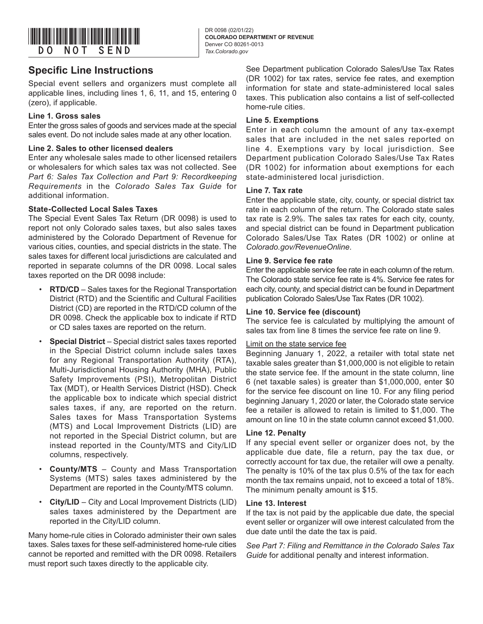

## **Specific Line Instructions**

Special event sellers and organizers must complete all applicable lines, including lines 1, 6, 11, and 15, entering 0 (zero), if applicable.

#### **Line 1. Gross sales**

Enter the gross sales of goods and services made at the special sales event. Do not include sales made at any other location.

#### **Line 2. Sales to other licensed dealers**

Enter any wholesale sales made to other licensed retailers or wholesalers for which sales tax was not collected. See *Part 6: Sales Tax Collection and Part 9: Recordkeeping Requirements* in the *Colorado Sales Tax Guide* for additional information.

#### **State-Collected Local Sales Taxes**

The Special Event Sales Tax Return (DR 0098) is used to report not only Colorado sales taxes, but also sales taxes administered by the Colorado Department of Revenue for various cities, counties, and special districts in the state. The sales taxes for different local jurisdictions are calculated and reported in separate columns of the DR 0098. Local sales taxes reported on the DR 0098 include:

- **RTD/CD**  Sales taxes for the Regional Transportation District (RTD) and the Scientific and Cultural Facilities District (CD) are reported in the RTD/CD column of the DR 0098. Check the applicable box to indicate if RTD or CD sales taxes are reported on the return.
- **Special District**  Special district sales taxes reported in the Special District column include sales taxes for any Regional Transportation Authority (RTA), Multi-Jurisdictional Housing Authority (MHA), Public Safety Improvements (PSI), Metropolitan District Tax (MDT), or Health Services District (HSD). Check the applicable box to indicate which special district sales taxes, if any, are reported on the return. Sales taxes for Mass Transportation Systems (MTS) and Local Improvement Districts (LID) are not reported in the Special District column, but are instead reported in the County/MTS and City/LID columns, respectively.
- **County/MTS**  County and Mass Transportation Systems (MTS) sales taxes administered by the Department are reported in the County/MTS column.
- **City/LID**  City and Local Improvement Districts (LID) sales taxes administered by the Department are reported in the City/LID column.

Many home-rule cities in Colorado administer their own sales taxes. Sales taxes for these self-administered home-rule cities cannot be reported and remitted with the DR 0098. Retailers must report such taxes directly to the applicable city.

See Department publication Colorado Sales/Use Tax Rates (DR 1002) for tax rates, service fee rates, and exemption information for state and state-administered local sales taxes. This publication also contains a list of self-collected home-rule cities.

#### **Line 5. Exemptions**

Enter in each column the amount of any tax-exempt sales that are included in the net sales reported on line 4. Exemptions vary by local jurisdiction. See Department publication Colorado Sales/Use Tax Rates (DR 1002) for information about exemptions for each state-administered local jurisdiction.

### **Line 7. Tax rate**

Enter the applicable state, city, county, or special district tax rate in each column of the return. The Colorado state sales tax rate is 2.9%. The sales tax rates for each city, county, and special district can be found in Department publication Colorado Sales/Use Tax Rates (DR 1002) or online at *Colorado.gov/RevenueOnline*.

#### **Line 9. Service fee rate**

Enter the applicable service fee rate in each column of the return. The Colorado state service fee rate is 4%. Service fee rates for each city, county, and special district can be found in Department publication Colorado Sales/Use Tax Rates (DR 1002).

#### **Line 10. Service fee (discount)**

The service fee is calculated by multiplying the amount of sales tax from line 8 times the service fee rate on line 9.

#### Limit on the state service fee

Beginning January 1, 2022, a retailer with total state net taxable sales greater than \$1,000,000 is not eligible to retain the state service fee. If the amount in the state column, line 6 (net taxable sales) is greater than \$1,000,000, enter \$0 for the service fee discount on line 10. For any filing period beginning January 1, 2020 or later, the Colorado state service fee a retailer is allowed to retain is limited to \$1,000. The amount on line 10 in the state column cannot exceed \$1,000.

#### **Line 12. Penalty**

If any special event seller or organizer does not, by the applicable due date, file a return, pay the tax due, or correctly account for tax due, the retailer will owe a penalty. The penalty is 10% of the tax plus 0.5% of the tax for each month the tax remains unpaid, not to exceed a total of 18%. The minimum penalty amount is \$15.

#### **Line 13. Interest**

If the tax is not paid by the applicable due date, the special event seller or organizer will owe interest calculated from the due date until the date the tax is paid.

*See Part 7: Filing and Remittance in the Colorado Sales Tax Guide* for additional penalty and interest information.